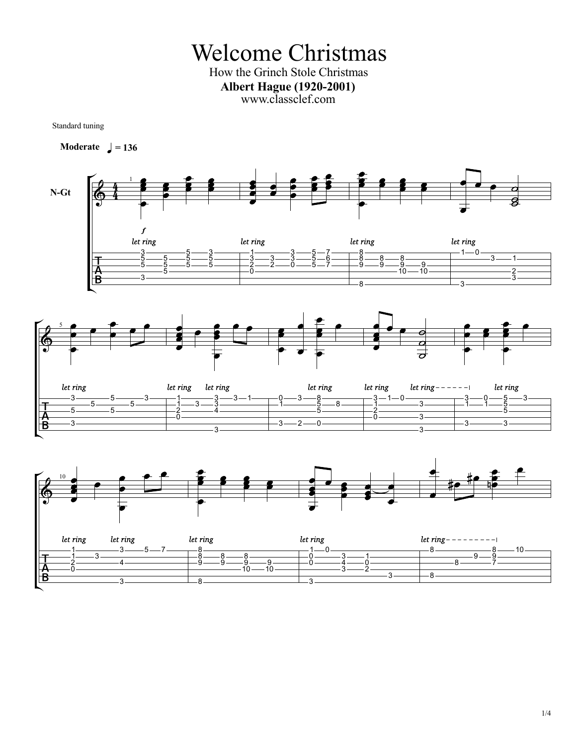Welcome Christmas

How the Grinch Stole Christmas **Albert Hague (1920-2001)** www.classclef.com

Standard tuning







 $3 \longrightarrow$ 



—  $\qquad$   $\qquad$   $\qquad$   $\qquad$   $\qquad$   $\qquad$   $\qquad$   $\qquad$   $\qquad$   $\qquad$   $\qquad$   $\qquad$   $\qquad$   $\qquad$   $\qquad$   $\qquad$   $\qquad$   $\qquad$   $\qquad$   $\qquad$   $\qquad$   $\qquad$   $\qquad$   $\qquad$   $\qquad$   $\qquad$   $\qquad$   $\qquad$   $\qquad$   $\qquad$   $\qquad$   $\qquad$   $\qquad$   $\qquad$   $\qquad$   $\qquad$ 

 $3 \longrightarrow 8 \longrightarrow$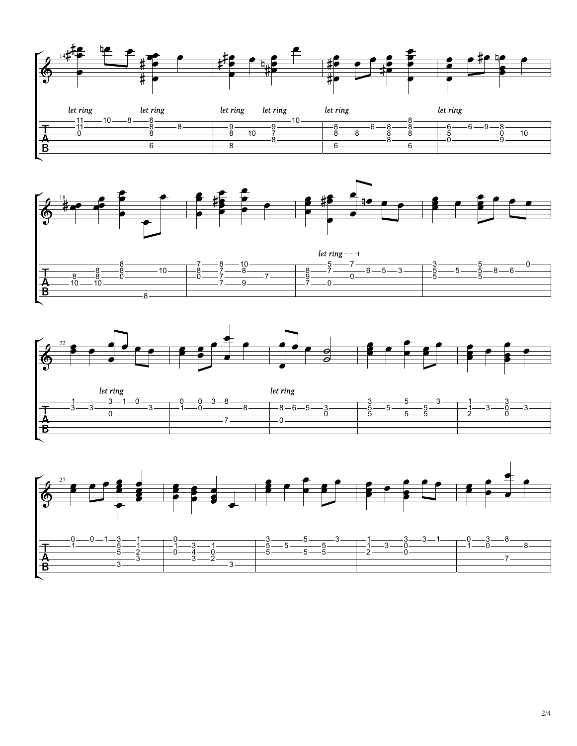





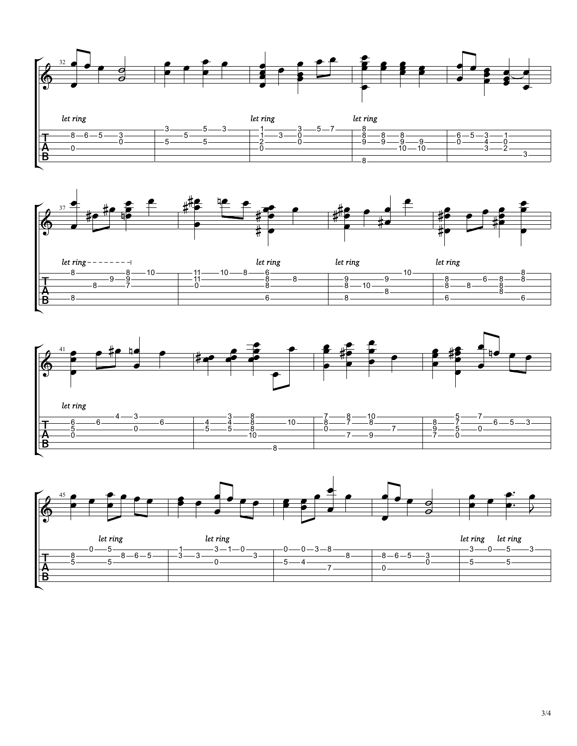